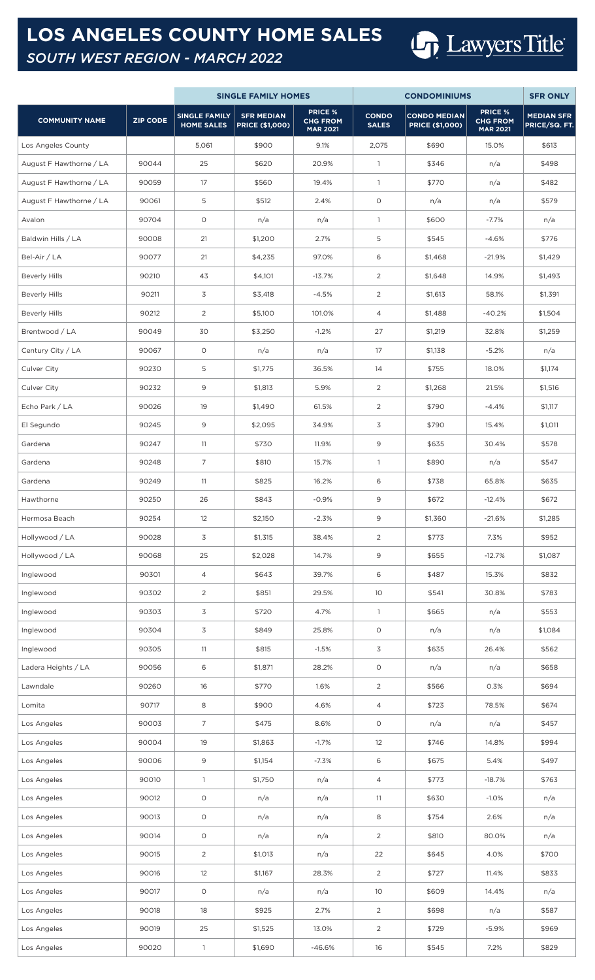## **LOS ANGELES COUNTY HOME SALES** *SOUTH WEST REGION - MARCH 2022*

## Lawyers Title

|                         |                 | <b>SINGLE FAMILY HOMES</b>                |                                             |                                                      | <b>CONDOMINIUMS</b>          | <b>SFR ONLY</b>                               |                                                      |                                    |
|-------------------------|-----------------|-------------------------------------------|---------------------------------------------|------------------------------------------------------|------------------------------|-----------------------------------------------|------------------------------------------------------|------------------------------------|
| <b>COMMUNITY NAME</b>   | <b>ZIP CODE</b> | <b>SINGLE FAMILY</b><br><b>HOME SALES</b> | <b>SFR MEDIAN</b><br><b>PRICE (\$1,000)</b> | <b>PRICE %</b><br><b>CHG FROM</b><br><b>MAR 2021</b> | <b>CONDO</b><br><b>SALES</b> | <b>CONDO MEDIAN</b><br><b>PRICE (\$1,000)</b> | <b>PRICE %</b><br><b>CHG FROM</b><br><b>MAR 2021</b> | <b>MEDIAN SFR</b><br>PRICE/SQ. FT. |
| Los Angeles County      |                 | 5,061                                     | \$900                                       | 9.1%                                                 | 2,075                        | \$690                                         | 15.0%                                                | \$613                              |
| August F Hawthorne / LA | 90044           | 25                                        | \$620                                       | 20.9%                                                | $\mathbf{1}$                 | \$346                                         | n/a                                                  | \$498                              |
| August F Hawthorne / LA | 90059           | 17                                        | \$560                                       | 19.4%                                                | $\mathbf{1}$                 | \$770                                         | n/a                                                  | \$482                              |
| August F Hawthorne / LA | 90061           | 5                                         | \$512                                       | 2.4%                                                 | O                            | n/a                                           | n/a                                                  | \$579                              |
| Avalon                  | 90704           | $\circ$                                   | n/a                                         | n/a                                                  | $\mathbf{1}$                 | \$600                                         | $-7.7%$                                              | n/a                                |
| Baldwin Hills / LA      | 90008           | 21                                        | \$1,200                                     | 2.7%                                                 | 5                            | \$545                                         | $-4.6%$                                              | \$776                              |
| Bel-Air / LA            | 90077           | 21                                        | \$4,235                                     | 97.0%                                                | 6                            | \$1,468                                       | $-21.9%$                                             | \$1,429                            |
| <b>Beverly Hills</b>    | 90210           | 43                                        | \$4,101                                     | $-13.7%$                                             | 2                            | \$1,648                                       | 14.9%                                                | \$1,493                            |
| <b>Beverly Hills</b>    | 90211           | 3                                         | \$3,418                                     | $-4.5%$                                              | $\overline{2}$               | \$1,613                                       | 58.1%                                                | \$1,391                            |
| <b>Beverly Hills</b>    | 90212           | 2                                         | \$5,100                                     | 101.0%                                               | 4                            | \$1,488                                       | $-40.2%$                                             | \$1,504                            |
| Brentwood / LA          | 90049           | 30                                        | \$3,250                                     | $-1.2%$                                              | 27                           | \$1,219                                       | 32.8%                                                | \$1,259                            |
| Century City / LA       | 90067           | $\circ$                                   | n/a                                         | n/a                                                  | 17                           | \$1,138                                       | $-5.2%$                                              | n/a                                |
| Culver City             | 90230           | 5                                         | \$1,775                                     | 36.5%                                                | 14                           | \$755                                         | 18.0%                                                | \$1,174                            |
| Culver City             | 90232           | 9                                         | \$1,813                                     | 5.9%                                                 | 2                            | \$1,268                                       | 21.5%                                                | \$1,516                            |
| Echo Park / LA          | 90026           | 19                                        | \$1,490                                     | 61.5%                                                | 2                            | \$790                                         | $-4.4%$                                              | \$1,117                            |
| El Segundo              | 90245           | 9                                         | \$2,095                                     | 34.9%                                                | 3                            | \$790                                         | 15.4%                                                | \$1,011                            |
| Gardena                 | 90247           | 11                                        | \$730                                       | 11.9%                                                | 9                            | \$635                                         | 30.4%                                                | \$578                              |
| Gardena                 | 90248           | $\overline{7}$                            | \$810                                       | 15.7%                                                | $\mathbf{1}$                 | \$890                                         | n/a                                                  | \$547                              |
| Gardena                 | 90249           | 11                                        | \$825                                       | 16.2%                                                | 6                            | \$738                                         | 65.8%                                                | \$635                              |
| Hawthorne               | 90250           | 26                                        | \$843                                       | $-0.9%$                                              | 9                            | \$672                                         | $-12.4%$                                             | \$672                              |
| Hermosa Beach           | 90254           | 12                                        | \$2,150                                     | $-2.3%$                                              | 9                            | \$1,360                                       | $-21.6%$                                             | \$1,285                            |
| Hollywood / LA          | 90028           | 3                                         | \$1,315                                     | 38.4%                                                | $\overline{c}$               | \$773                                         | 7.3%                                                 | \$952                              |
| Hollywood / LA          | 90068           | 25                                        | \$2,028                                     | 14.7%                                                | 9                            | \$655                                         | $-12.7%$                                             | \$1,087                            |
| Inglewood               | 90301           | $\overline{4}$                            | \$643                                       | 39.7%                                                | 6                            | \$487                                         | 15.3%                                                | \$832                              |
| Inglewood               | 90302           | 2                                         | \$851                                       | 29.5%                                                | 10                           | \$541                                         | 30.8%                                                | \$783                              |
| Inglewood               | 90303           | 3                                         | \$720                                       | 4.7%                                                 | $\mathbf{1}$                 | \$665                                         | n/a                                                  | \$553                              |
| Inglewood               | 90304           | 3                                         | \$849                                       | 25.8%                                                | $\circ$                      | n/a                                           | n/a                                                  | \$1,084                            |
| Inglewood               | 90305           | 11                                        | \$815                                       | $-1.5%$                                              | 3                            | \$635                                         | 26.4%                                                | \$562                              |
| Ladera Heights / LA     | 90056           | 6                                         | \$1,871                                     | 28.2%                                                | $\circ$                      | n/a                                           | n/a                                                  | \$658                              |
| Lawndale                | 90260           | 16                                        | \$770                                       | 1.6%                                                 | 2                            | \$566                                         | 0.3%                                                 | \$694                              |
| Lomita                  | 90717           | 8                                         | \$900                                       | 4.6%                                                 | 4                            | \$723                                         | 78.5%                                                | \$674                              |
| Los Angeles             | 90003           | $\overline{7}$                            | \$475                                       | 8.6%                                                 | $\circ$                      | n/a                                           | n/a                                                  | \$457                              |
| Los Angeles             | 90004           | 19                                        | \$1,863                                     | $-1.7%$                                              | 12                           | \$746                                         | 14.8%                                                | \$994                              |
| Los Angeles             | 90006           | 9                                         | \$1,154                                     | $-7.3%$                                              | 6                            | \$675                                         | 5.4%                                                 | \$497                              |
| Los Angeles             | 90010           | $\overline{1}$                            | \$1,750                                     | n/a                                                  | 4                            | \$773                                         | $-18.7%$                                             | \$763                              |
| Los Angeles             | 90012           | $\circ$                                   | n/a                                         | n/a                                                  | 11                           | \$630                                         | $-1.0%$                                              | n/a                                |
| Los Angeles             | 90013           | $\circ$                                   | n/a                                         | n/a                                                  | 8                            | \$754                                         | 2.6%                                                 | n/a                                |
| Los Angeles             | 90014           | $\circ$                                   | n/a                                         | n/a                                                  | $\overline{c}$               | \$810                                         | 80.0%                                                | n/a                                |
| Los Angeles             | 90015           | 2                                         | \$1,013                                     | n/a                                                  | 22                           | \$645                                         | 4.0%                                                 | \$700                              |
| Los Angeles             | 90016           | 12                                        | \$1,167                                     | 28.3%                                                | 2                            | \$727                                         | 11.4%                                                | \$833                              |
| Los Angeles             | 90017           | $\circ$                                   | n/a                                         | n/a                                                  | 10 <sup>°</sup>              | \$609                                         | 14.4%                                                | n/a                                |
| Los Angeles             | 90018           | 18                                        | \$925                                       | 2.7%                                                 | $\overline{c}$               | \$698                                         | n/a                                                  | \$587                              |
| Los Angeles             | 90019           | 25                                        | \$1,525                                     | 13.0%                                                | $\overline{c}$               | \$729                                         | $-5.9%$                                              | \$969                              |
| Los Angeles             | 90020           | $\mathbf{1}$                              | \$1,690                                     | $-46.6%$                                             | 16                           | \$545                                         | 7.2%                                                 | \$829                              |